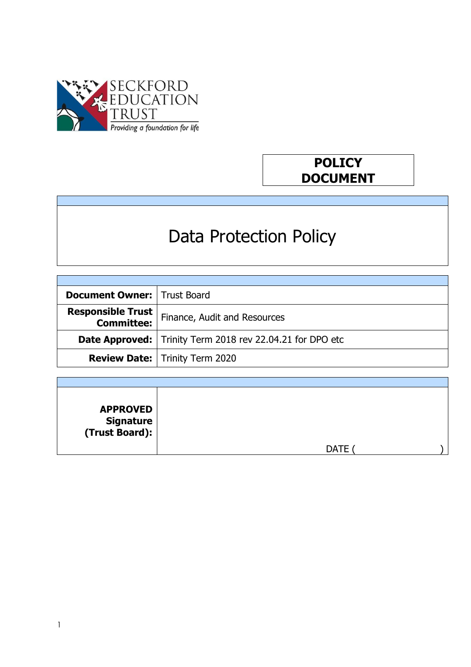

# **POLICY DOCUMENT**

# Data Protection Policy

| <b>Document Owner:   Trust Board</b>          |                                                                    |
|-----------------------------------------------|--------------------------------------------------------------------|
| <b>Responsible Trust</b><br><b>Committee:</b> | Finance, Audit and Resources                                       |
|                                               | <b>Date Approved:</b>   Trinity Term 2018 rev 22.04.21 for DPO etc |
|                                               | <b>Review Date:</b>   Trinity Term 2020                            |

| <b>APPROVED</b><br>  Signature<br>  (Trust Board): |             |  |
|----------------------------------------------------|-------------|--|
|                                                    | <b>DATE</b> |  |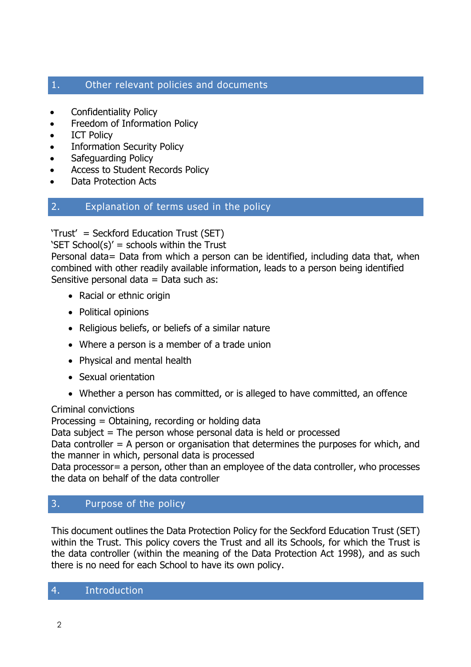# 1. Other relevant policies and documents

- Confidentiality Policy
- Freedom of Information Policy
- ICT Policy
- Information Security Policy
- Safeguarding Policy
- Access to Student Records Policy
- Data Protection Acts

## 2. Explanation of terms used in the policy

'Trust' = Seckford Education Trust (SET)

'SET School(s)' = schools within the Trust

Personal data= Data from which a person can be identified, including data that, when combined with other readily available information, leads to a person being identified Sensitive personal data = Data such as:

- Racial or ethnic origin
- Political opinions
- Religious beliefs, or beliefs of a similar nature
- Where a person is a member of a trade union
- Physical and mental health
- Sexual orientation
- Whether a person has committed, or is alleged to have committed, an offence

## Criminal convictions

Processing = Obtaining, recording or holding data

Data subject  $=$  The person whose personal data is held or processed

Data controller  $=$  A person or organisation that determines the purposes for which, and the manner in which, personal data is processed

Data processor = a person, other than an employee of the data controller, who processes the data on behalf of the data controller

# 3. Purpose of the policy

This document outlines the Data Protection Policy for the Seckford Education Trust (SET) within the Trust. This policy covers the Trust and all its Schools, for which the Trust is the data controller (within the meaning of the Data Protection Act 1998), and as such there is no need for each School to have its own policy.

## 4. Introduction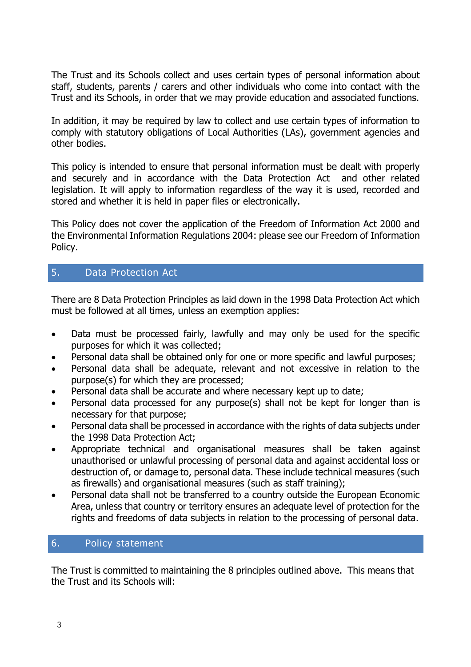The Trust and its Schools collect and uses certain types of personal information about staff, students, parents / carers and other individuals who come into contact with the Trust and its Schools, in order that we may provide education and associated functions.

In addition, it may be required by law to collect and use certain types of information to comply with statutory obligations of Local Authorities (LAs), government agencies and other bodies.

This policy is intended to ensure that personal information must be dealt with properly and securely and in accordance with the Data Protection Act and other related legislation. It will apply to information regardless of the way it is used, recorded and stored and whether it is held in paper files or electronically.

This Policy does not cover the application of the Freedom of Information Act 2000 and the Environmental Information Regulations 2004: please see our Freedom of Information Policy.

# 5. Data Protection Act

There are 8 Data Protection Principles as laid down in the 1998 Data Protection Act which must be followed at all times, unless an exemption applies:

- Data must be processed fairly, lawfully and may only be used for the specific purposes for which it was collected;
- Personal data shall be obtained only for one or more specific and lawful purposes;
- Personal data shall be adequate, relevant and not excessive in relation to the purpose(s) for which they are processed;
- Personal data shall be accurate and where necessary kept up to date;
- Personal data processed for any purpose(s) shall not be kept for longer than is necessary for that purpose;
- Personal data shall be processed in accordance with the rights of data subjects under the 1998 Data Protection Act;
- Appropriate technical and organisational measures shall be taken against unauthorised or unlawful processing of personal data and against accidental loss or destruction of, or damage to, personal data. These include technical measures (such as firewalls) and organisational measures (such as staff training);
- Personal data shall not be transferred to a country outside the European Economic Area, unless that country or territory ensures an adequate level of protection for the rights and freedoms of data subjects in relation to the processing of personal data.

# 6. Policy statement

The Trust is committed to maintaining the 8 principles outlined above. This means that the Trust and its Schools will: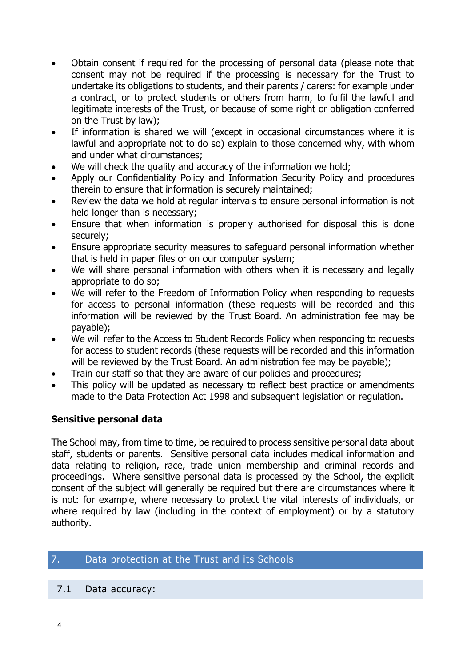- Obtain consent if required for the processing of personal data (please note that consent may not be required if the processing is necessary for the Trust to undertake its obligations to students, and their parents / carers: for example under a contract, or to protect students or others from harm, to fulfil the lawful and legitimate interests of the Trust, or because of some right or obligation conferred on the Trust by law);
- If information is shared we will (except in occasional circumstances where it is lawful and appropriate not to do so) explain to those concerned why, with whom and under what circumstances;
- We will check the quality and accuracy of the information we hold;
- Apply our Confidentiality Policy and Information Security Policy and procedures therein to ensure that information is securely maintained;
- Review the data we hold at regular intervals to ensure personal information is not held longer than is necessary;
- Ensure that when information is properly authorised for disposal this is done securely;
- Ensure appropriate security measures to safeguard personal information whether that is held in paper files or on our computer system;
- We will share personal information with others when it is necessary and legally appropriate to do so;
- We will refer to the Freedom of Information Policy when responding to requests for access to personal information (these requests will be recorded and this information will be reviewed by the Trust Board. An administration fee may be payable);
- We will refer to the Access to Student Records Policy when responding to requests for access to student records (these requests will be recorded and this information will be reviewed by the Trust Board. An administration fee may be payable);
- Train our staff so that they are aware of our policies and procedures;
- This policy will be updated as necessary to reflect best practice or amendments made to the Data Protection Act 1998 and subsequent legislation or regulation.

# **Sensitive personal data**

The School may, from time to time, be required to process sensitive personal data about staff, students or parents. Sensitive personal data includes medical information and data relating to religion, race, trade union membership and criminal records and proceedings. Where sensitive personal data is processed by the School, the explicit consent of the subject will generally be required but there are circumstances where it is not: for example, where necessary to protect the vital interests of individuals, or where required by law (including in the context of employment) or by a statutory authority.

# 7. Data protection at the Trust and its Schools

## 7.1 Data accuracy: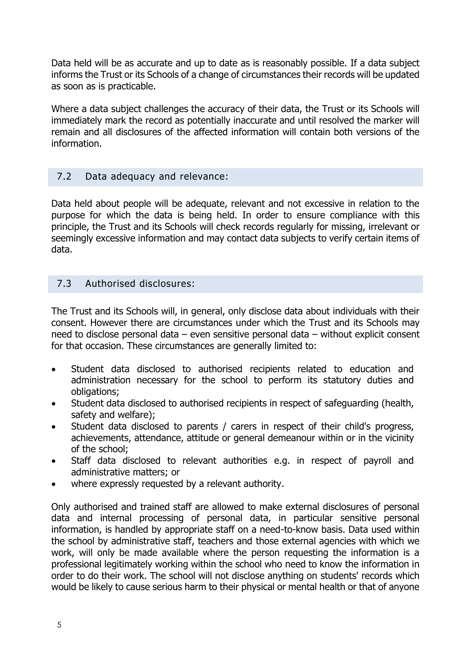Data held will be as accurate and up to date as is reasonably possible. If a data subject informs the Trust or its Schools of a change of circumstances their records will be updated as soon as is practicable.

Where a data subject challenges the accuracy of their data, the Trust or its Schools will immediately mark the record as potentially inaccurate and until resolved the marker will remain and all disclosures of the affected information will contain both versions of the information.

# 7.2 Data adequacy and relevance:

Data held about people will be adequate, relevant and not excessive in relation to the purpose for which the data is being held. In order to ensure compliance with this principle, the Trust and its Schools will check records regularly for missing, irrelevant or seemingly excessive information and may contact data subjects to verify certain items of data.

## 7.3 Authorised disclosures:

The Trust and its Schools will, in general, only disclose data about individuals with their consent. However there are circumstances under which the Trust and its Schools may need to disclose personal data – even sensitive personal data – without explicit consent for that occasion. These circumstances are generally limited to:

- Student data disclosed to authorised recipients related to education and administration necessary for the school to perform its statutory duties and obligations;
- Student data disclosed to authorised recipients in respect of safeguarding (health, safety and welfare);
- Student data disclosed to parents / carers in respect of their child's progress, achievements, attendance, attitude or general demeanour within or in the vicinity of the school;
- Staff data disclosed to relevant authorities e.g. in respect of payroll and administrative matters; or
- where expressly requested by a relevant authority.

Only authorised and trained staff are allowed to make external disclosures of personal data and internal processing of personal data, in particular sensitive personal information, is handled by appropriate staff on a need-to-know basis. Data used within the school by administrative staff, teachers and those external agencies with which we work, will only be made available where the person requesting the information is a professional legitimately working within the school who need to know the information in order to do their work. The school will not disclose anything on students' records which would be likely to cause serious harm to their physical or mental health or that of anyone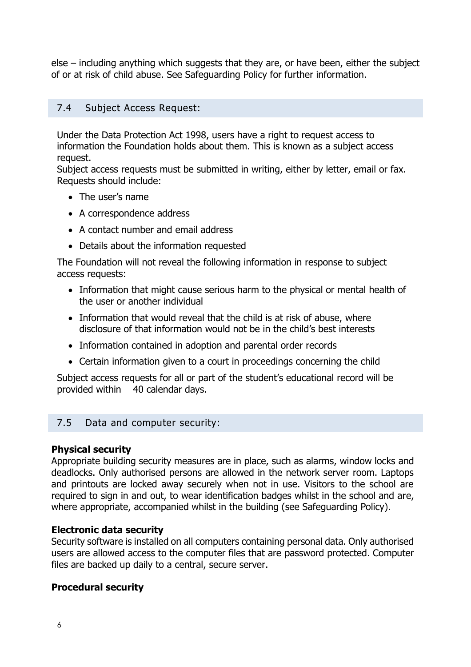else – including anything which suggests that they are, or have been, either the subject of or at risk of child abuse. See Safeguarding Policy for further information.

## 7.4 Subject Access Request:

Under the Data Protection Act 1998, users have a right to request access to information the Foundation holds about them. This is known as a subject access request.

Subject access requests must be submitted in writing, either by letter, email or fax. Requests should include:

- The user's name
- A correspondence address
- A contact number and email address
- Details about the information requested

The Foundation will not reveal the following information in response to subject access requests:

- Information that might cause serious harm to the physical or mental health of the user or another individual
- Information that would reveal that the child is at risk of abuse, where disclosure of that information would not be in the child's best interests
- Information contained in adoption and parental order records
- Certain information given to a court in proceedings concerning the child

Subject access requests for all or part of the student's educational record will be provided within 40 calendar days.

## 7.5 Data and computer security:

#### **Physical security**

Appropriate building security measures are in place, such as alarms, window locks and deadlocks. Only authorised persons are allowed in the network server room. Laptops and printouts are locked away securely when not in use. Visitors to the school are required to sign in and out, to wear identification badges whilst in the school and are, where appropriate, accompanied whilst in the building (see Safeguarding Policy).

#### **Electronic data security**

Security software is installed on all computers containing personal data. Only authorised users are allowed access to the computer files that are password protected. Computer files are backed up daily to a central, secure server.

## **Procedural security**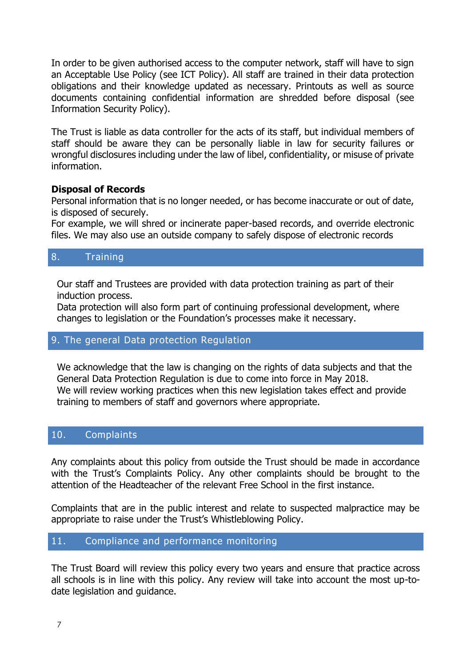In order to be given authorised access to the computer network, staff will have to sign an Acceptable Use Policy (see ICT Policy). All staff are trained in their data protection obligations and their knowledge updated as necessary. Printouts as well as source documents containing confidential information are shredded before disposal (see Information Security Policy).

The Trust is liable as data controller for the acts of its staff, but individual members of staff should be aware they can be personally liable in law for security failures or wrongful disclosures including under the law of libel, confidentiality, or misuse of private information.

#### **Disposal of Records**

Personal information that is no longer needed, or has become inaccurate or out of date, is disposed of securely.

For example, we will shred or incinerate paper-based records, and override electronic files. We may also use an outside company to safely dispose of electronic records

## 8. Training

Our staff and Trustees are provided with data protection training as part of their induction process.

Data protection will also form part of continuing professional development, where changes to legislation or the Foundation's processes make it necessary.

## 9. The general Data protection Regulation

We acknowledge that the law is changing on the rights of data subjects and that the General Data Protection Regulation is due to come into force in May 2018. We will review working practices when this new legislation takes effect and provide training to members of staff and governors where appropriate.

## 10. Complaints

Any complaints about this policy from outside the Trust should be made in accordance with the Trust's Complaints Policy. Any other complaints should be brought to the attention of the Headteacher of the relevant Free School in the first instance.

Complaints that are in the public interest and relate to suspected malpractice may be appropriate to raise under the Trust's Whistleblowing Policy.

## 11. Compliance and performance monitoring

The Trust Board will review this policy every two years and ensure that practice across all schools is in line with this policy. Any review will take into account the most up-todate legislation and guidance.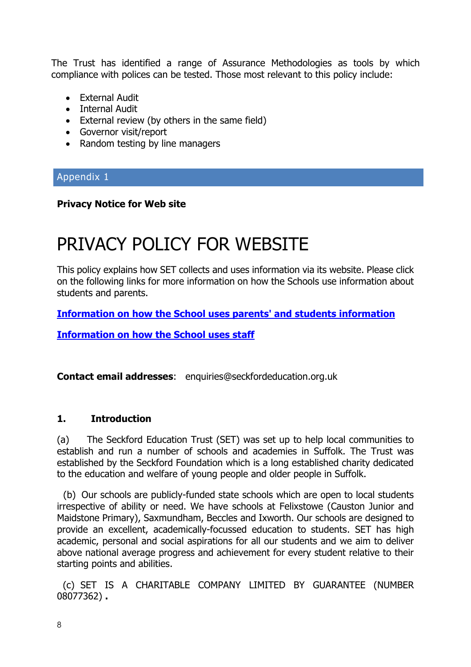The Trust has identified a range of Assurance Methodologies as tools by which compliance with polices can be tested. Those most relevant to this policy include:

- External Audit
- Internal Audit
- External review (by others in the same field)
- Governor visit/report
- Random testing by line managers

# Appendix 1

## **Privacy Notice for Web site**

# PRIVACY POLICY FOR WEBSITE

This policy explains how SET collects and uses information via its website. Please click on the following links for more information on how the Schools use information about students and parents.

**[Information on how the School uses parents' and students](http://www.epsomcollege.org.uk/userfiles/documents/infobooklets/Privacy%20notice%20for%20parents%20-%2027%20Sept%2017%20-%20full%20policy.pdf) information**

**[Information on how the School uses staff](http://www.epsomcollege.org.uk/userfiles/documents/infobooklets/Privacy%20notice%20for%20pupils%2027%20Sept%2017%20-%20full%20policy.pdf)**

**Contact email [addresses](mailto:addresses:enquiries@saxmundhamfreeschool.org.uk)**: enquiries@seckfordeducation.org.uk

## **1. Introduction**

(a) The Seckford Education Trust (SET) was set up to help local communities to establish and run a number of schools and academies in Suffolk. The Trust was established by the Seckford Foundation which is a long established charity dedicated to the education and welfare of young people and older people in Suffolk.

(b) Our schools are publicly-funded state schools which are open to local students irrespective of ability or need. We have schools at Felixstowe (Causton Junior and Maidstone Primary), Saxmundham, Beccles and Ixworth. Our schools are designed to provide an excellent, academically-focussed education to students. SET has high academic, personal and social aspirations for all our students and we aim to deliver above national average progress and achievement for every student relative to their starting points and abilities.

 (c) SET IS A CHARITABLE COMPANY LIMITED BY GUARANTEE (NUMBER 08077362) **.**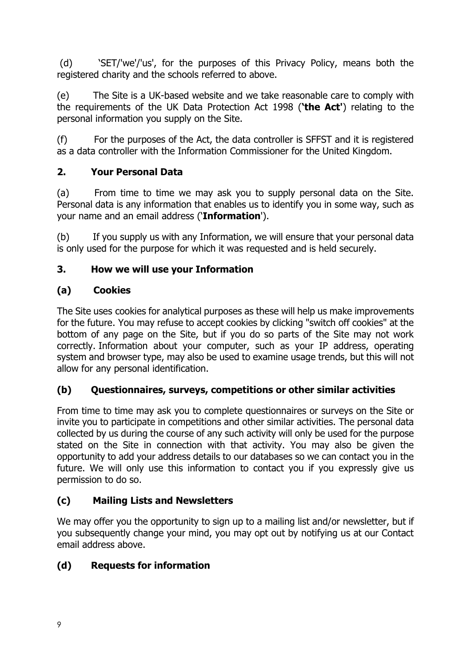(d) 'SET/'we'/'us', for the purposes of this Privacy Policy, means both the registered charity and the schools referred to above.

(e) The Site is a UK-based website and we take reasonable care to comply with the requirements of the UK Data Protection Act 1998 (**'the Act'**) relating to the personal information you supply on the Site.

(f) For the purposes of the Act, the data controller is SFFST and it is registered as a data controller with the Information Commissioner for the United Kingdom.

# **2. Your Personal Data**

(a) From time to time we may ask you to supply personal data on the Site. Personal data is any information that enables us to identify you in some way, such as your name and an email address ('**Information**').

(b) If you supply us with any Information, we will ensure that your personal data is only used for the purpose for which it was requested and is held securely.

# **3. How we will use your Information**

# **(a) Cookies**

The Site uses cookies for analytical purposes as these will help us make improvements for the future. You may refuse to accept cookies by clicking "switch off cookies" at the bottom of any page on the Site, but if you do so parts of the Site may not work correctly. Information about your computer, such as your IP address, operating system and browser type, may also be used to examine usage trends, but this will not allow for any personal identification.

# **(b) Questionnaires, surveys, competitions or other similar activities**

From time to time may ask you to complete questionnaires or surveys on the Site or invite you to participate in competitions and other similar activities. The personal data collected by us during the course of any such activity will only be used for the purpose stated on the Site in connection with that activity. You may also be given the opportunity to add your address details to our databases so we can contact you in the future. We will only use this information to contact you if you expressly give us permission to do so.

# **(c) Mailing Lists and Newsletters**

We may offer you the opportunity to sign up to a mailing list and/or newsletter, but if you subsequently change your mind, you may opt out by notifying us at our Contact email address above.

# **(d) Requests for information**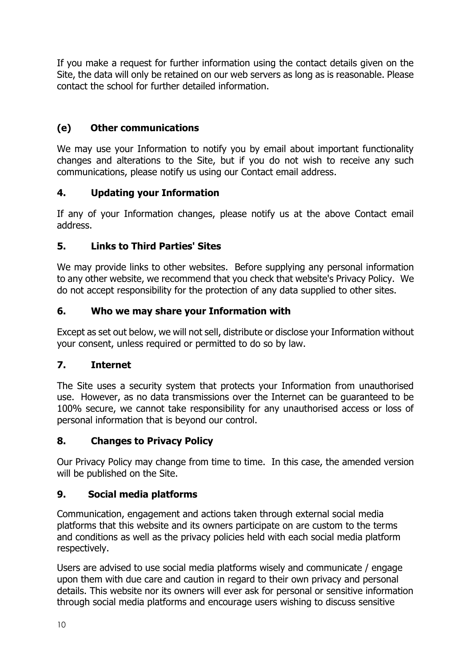If you make a request for further information using the contact details given on the Site, the data will only be retained on our web servers as long as is reasonable. Please contact the school for further detailed information.

# **(e) Other communications**

We may use your Information to notify you by email about important functionality changes and alterations to the Site, but if you do not wish to receive any such communications, please notify us using our Contact email address.

# **4. Updating your Information**

If any of your Information changes, please notify us at the above Contact email address.

# **5. Links to Third Parties' Sites**

We may provide links to other websites. Before supplying any personal information to any other website, we recommend that you check that website's Privacy Policy. We do not accept responsibility for the protection of any data supplied to other sites.

# **6. Who we may share your Information with**

Except as set out below, we will not sell, distribute or disclose your Information without your consent, unless required or permitted to do so by law.

# **7. Internet**

The Site uses a security system that protects your Information from unauthorised use. However, as no data transmissions over the Internet can be guaranteed to be 100% secure, we cannot take responsibility for any unauthorised access or loss of personal information that is beyond our control.

# **8. Changes to Privacy Policy**

Our Privacy Policy may change from time to time. In this case, the amended version will be published on the Site.

# **9. Social media platforms**

Communication, engagement and actions taken through external social media platforms that this website and its owners participate on are custom to the terms and conditions as well as the privacy policies held with each social media platform respectively.

Users are advised to use social media platforms wisely and communicate / engage upon them with due care and caution in regard to their own privacy and personal details. This website nor its owners will ever ask for personal or sensitive information through social media platforms and encourage users wishing to discuss sensitive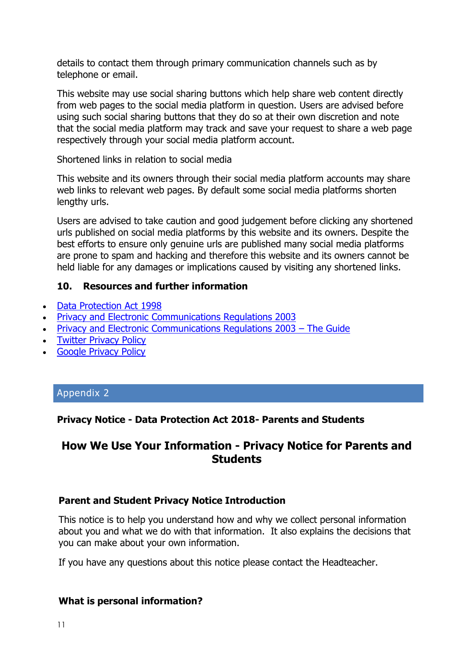details to contact them through primary communication channels such as by telephone or email.

This website may use social sharing buttons which help share web content directly from web pages to the social media platform in question. Users are advised before using such social sharing buttons that they do so at their own discretion and note that the social media platform may track and save your request to share a web page respectively through your social media platform account.

Shortened links in relation to social media

This website and its owners through their social media platform accounts may share web links to relevant web pages. By default some social media platforms shorten lengthy urls.

Users are advised to take caution and good judgement before clicking any shortened urls published on social media platforms by this website and its owners. Despite the best efforts to ensure only genuine urls are published many social media platforms are prone to spam and hacking and therefore this website and its owners cannot be held liable for any damages or implications caused by visiting any shortened links.

## **10. Resources and further information**

- [Data Protection Act 1998](http://www.legislation.gov.uk/ukpga/1998/29/contents)
- [Privacy and Electronic Communications Regulations 2003](http://www.legislation.gov.uk/uksi/2003/2426/contents/made)
- [Privacy and Electronic Communications Regulations 2003](http://www.ico.gov.uk/for_organisations/privacy_and_electronic_communications/the_guide.aspx)  The Guide
- [Twitter Privacy Policy](http://twitter.com/privacy)
- [Google Privacy Policy](http://www.google.com/privacy.html)

## Appendix 2

# **Privacy Notice - Data Protection Act 2018- Parents and Students**

# **How We Use Your Information - Privacy Notice for Parents and Students**

## **Parent and Student Privacy Notice Introduction**

This notice is to help you understand how and why we collect personal information about you and what we do with that information. It also explains the decisions that you can make about your own information.

If you have any questions about this notice please contact the Headteacher.

## **What is personal information?**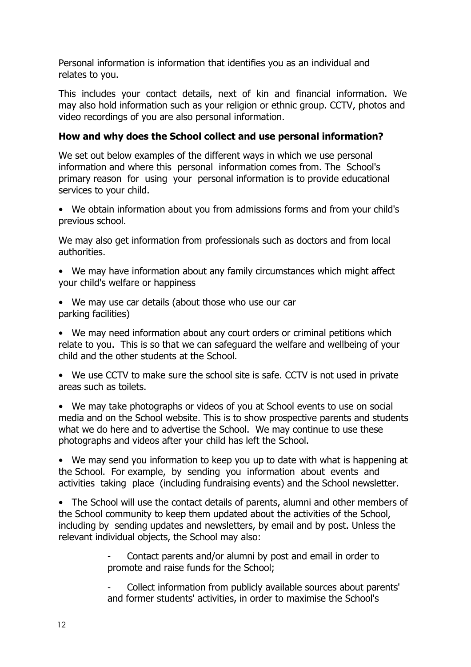Personal information is information that identifies you as an individual and relates to you.

This includes your contact details, next of kin and financial information. We may also hold information such as your religion or ethnic group. CCTV, photos and video recordings of you are also personal information.

## **How and why does the School collect and use personal information?**

We set out below examples of the different ways in which we use personal information and where this personal information comes from. The School's primary reason for using your personal information is to provide educational services to your child.

• We obtain information about you from admissions forms and from your child's previous school.

We may also get information from professionals such as doctors and from local authorities.

• We may have information about any family circumstances which might affect your child's welfare or happiness

• We may use car details (about those who use our car parking facilities)

• We may need information about any court orders or criminal petitions which relate to you. This is so that we can safeguard the welfare and wellbeing of your child and the other students at the School.

• We use CCTV to make sure the school site is safe. CCTV is not used in private areas such as toilets.

• We may take photographs or videos of you at School events to use on social media and on the School website. This is to show prospective parents and students what we do here and to advertise the School. We may continue to use these photographs and videos after your child has left the School.

• We may send you information to keep you up to date with what is happening at the School. For example, by sending you information about events and activities taking place (including fundraising events) and the School newsletter.

• The School will use the contact details of parents, alumni and other members of the School community to keep them updated about the activities of the School, including by sending updates and newsletters, by email and by post. Unless the relevant individual objects, the School may also:

> Contact parents and/or alumni by post and email in order to promote and raise funds for the School;

- Collect information from publicly available sources about parents' and former students' activities, in order to maximise the School's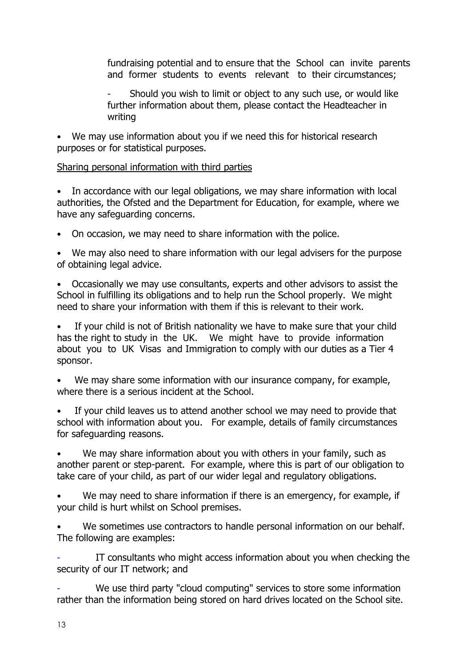fundraising potential and to ensure that the School can invite parents and former students to events relevant to their circumstances;

Should you wish to limit or object to any such use, or would like further information about them, please contact the Headteacher in writing

• We may use information about you if we need this for historical research purposes or for statistical purposes.

## Sharing personal information with third parties

• In accordance with our legal obligations, we may share information with local authorities, the Ofsted and the Department for Education, for example, where we have any safeguarding concerns.

• On occasion, we may need to share information with the police.

• We may also need to share information with our legal advisers for the purpose of obtaining legal advice.

• Occasionally we may use consultants, experts and other advisors to assist the School in fulfilling its obligations and to help run the School properly. We might need to share your information with them if this is relevant to their work.

If your child is not of British nationality we have to make sure that your child has the right to study in the UK. We might have to provide information about you to UK Visas and Immigration to comply with our duties as a Tier 4 sponsor.

We may share some information with our insurance company, for example, where there is a serious incident at the School.

If your child leaves us to attend another school we may need to provide that school with information about you. For example, details of family circumstances for safeguarding reasons.

We may share information about you with others in your family, such as another parent or step-parent. For example, where this is part of our obligation to take care of your child, as part of our wider legal and regulatory obligations.

We may need to share information if there is an emergency, for example, if your child is hurt whilst on School premises.

We sometimes use contractors to handle personal information on our behalf. The following are examples:

IT consultants who might access information about you when checking the security of our IT network; and

We use third party "cloud computing" services to store some information rather than the information being stored on hard drives located on the School site.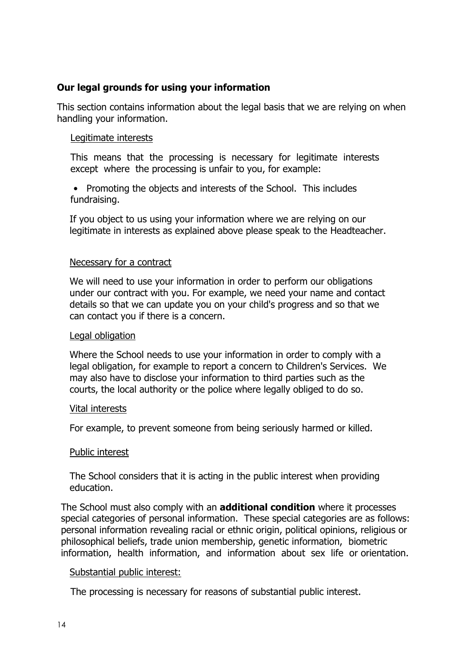## **Our legal grounds for using your information**

This section contains information about the legal basis that we are relying on when handling your information.

#### Legitimate interests

This means that the processing is necessary for legitimate interests except where the processing is unfair to you, for example:

• Promoting the objects and interests of the School. This includes fundraising.

If you object to us using your information where we are relying on our legitimate in interests as explained above please speak to the Headteacher.

#### Necessary for a contract

We will need to use your information in order to perform our obligations under our contract with you. For example, we need your name and contact details so that we can update you on your child's progress and so that we can contact you if there is a concern.

#### Legal obligation

Where the School needs to use your information in order to comply with a legal obligation, for example to report a concern to Children's Services. We may also have to disclose your information to third parties such as the courts, the local authority or the police where legally obliged to do so.

#### Vital interests

For example, to prevent someone from being seriously harmed or killed.

#### Public interest

The School considers that it is acting in the public interest when providing education.

The School must also comply with an **additional condition** where it processes special categories of personal information. These special categories are as follows: personal information revealing racial or ethnic origin, political opinions, religious or philosophical beliefs, trade union membership, genetic information, biometric information, health information, and information about sex life or orientation.

#### Substantial public interest:

The processing is necessary for reasons of substantial public interest.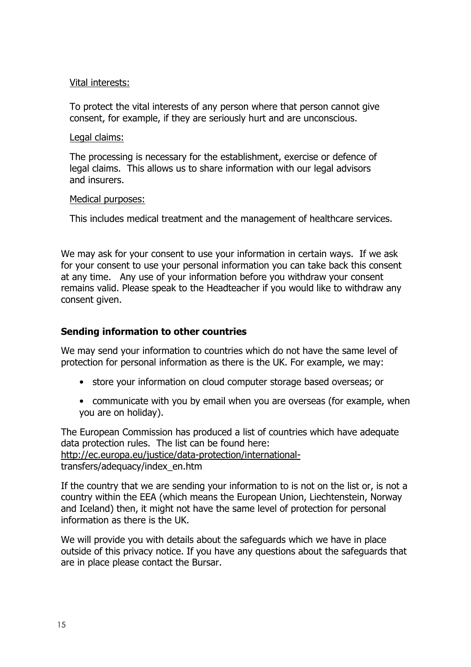#### Vital interests:

To protect the vital interests of any person where that person cannot give consent, for example, if they are seriously hurt and are unconscious.

#### Legal claims:

The processing is necessary for the establishment, exercise or defence of legal claims. This allows us to share information with our legal advisors and insurers.

#### Medical purposes:

This includes medical treatment and the management of healthcare services.

We may ask for your consent to use your information in certain ways. If we ask for your consent to use your personal information you can take back this consent at any time. Any use of your information before you withdraw your consent remains valid. Please speak to the Headteacher if you would like to withdraw any consent given.

## **Sending information to other countries**

We may send your information to countries which do not have the same level of protection for personal information as there is the UK. For example, we may:

- store your information on cloud computer storage based overseas; or
- communicate with you by email when you are overseas (for example, when you are on holiday).

The European Commission has produced a list of countries which have adequate data protection rules. The list can be found here: [http://ec.europa.eu/justice/data-protection/international](http://ec.europa.eu/justice/data-protection/international-)transfers/adequacy/index\_en.htm

If the country that we are sending your information to is not on the list or, is not a country within the EEA (which means the European Union, Liechtenstein, Norway and Iceland) then, it might not have the same level of protection for personal information as there is the UK.

We will provide you with details about the safeguards which we have in place outside of this privacy notice. If you have any questions about the safeguards that are in place please contact the Bursar.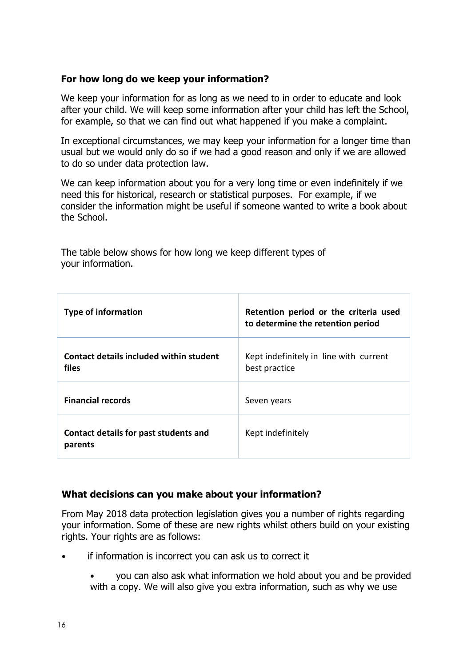#### **For how long do we keep your information?**

We keep your information for as long as we need to in order to educate and look after your child. We will keep some information after your child has left the School, for example, so that we can find out what happened if you make a complaint.

In exceptional circumstances, we may keep your information for a longer time than usual but we would only do so if we had a good reason and only if we are allowed to do so under data protection law.

We can keep information about you for a very long time or even indefinitely if we need this for historical, research or statistical purposes. For example, if we consider the information might be useful if someone wanted to write a book about the School.

| <b>Type of information</b>                              | Retention period or the criteria used<br>to determine the retention period |
|---------------------------------------------------------|----------------------------------------------------------------------------|
| Contact details included within student<br><b>files</b> | Kept indefinitely in line with current<br>best practice                    |
| <b>Financial records</b>                                | Seven years                                                                |
| Contact details for past students and<br>parents        | Kept indefinitely                                                          |

The table below shows for how long we keep different types of your information.

## **What decisions can you make about your information?**

From May 2018 data protection legislation gives you a number of rights regarding your information. Some of these are new rights whilst others build on your existing rights. Your rights are as follows:

- if information is incorrect you can ask us to correct it
	- you can also ask what information we hold about you and be provided with a copy. We will also give you extra information, such as why we use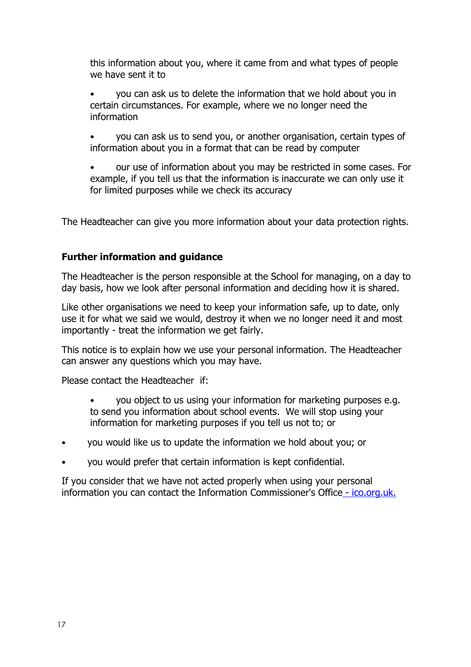this information about you, where it came from and what types of people we have sent it to

• you can ask us to delete the information that we hold about you in certain circumstances. For example, where we no longer need the information

• you can ask us to send you, or another organisation, certain types of information about you in a format that can be read by computer

• our use of information about you may be restricted in some cases. For example, if you tell us that the information is inaccurate we can only use it for limited purposes while we check its accuracy

The Headteacher can give you more information about your data protection rights.

## **Further information and guidance**

The Headteacher is the person responsible at the School for managing, on a day to day basis, how we look after personal information and deciding how it is shared.

Like other organisations we need to keep your information safe, up to date, only use it for what we said we would, destroy it when we no longer need it and most importantly - treat the information we get fairly.

This notice is to explain how we use your personal information. The Headteacher can answer any questions which you may have.

Please contact the Headteacher if:

- you object to us using your information for marketing purposes e.g. to send you information about school events. We will stop using your information for marketing purposes if you tell us not to; or
- you would like us to update the information we hold about you; or
- you would prefer that certain information is kept confidential.

If you consider that we have not acted properly when using your personal information you can contact the Information Commissioner's Office - [ico.org.uk.](https://ico.org.uk/)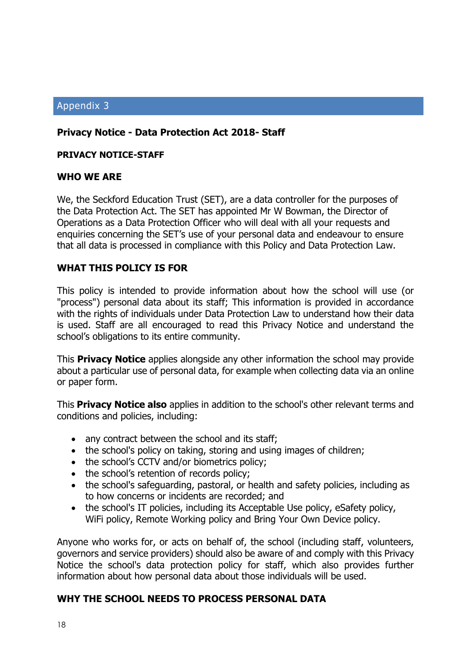## Appendix 3

## **Privacy Notice - Data Protection Act 2018- Staff**

#### **PRIVACY NOTICE-STAFF**

#### **WHO WE ARE**

We, the Seckford Education Trust (SET), are a data controller for the purposes of the Data Protection Act. The SET has appointed Mr W Bowman, the Director of Operations as a Data Protection Officer who will deal with all your requests and enquiries concerning the SET's use of your personal data and endeavour to ensure that all data is processed in compliance with this Policy and Data Protection Law.

#### **WHAT THIS POLICY IS FOR**

This policy is intended to provide information about how the school will use (or "process") personal data about its staff; This information is provided in accordance with the rights of individuals under Data Protection Law to understand how their data is used. Staff are all encouraged to read this Privacy Notice and understand the school's obligations to its entire community.

This **Privacy Notice** applies alongside any other information the school may provide about a particular use of personal data, for example when collecting data via an online or paper form.

This **Privacy Notice also** applies in addition to the school's other relevant terms and conditions and policies, including:

- any contract between the school and its staff;
- the school's policy on taking, storing and using images of children;
- the school's CCTV and/or biometrics policy;
- the school's retention of records policy;
- the school's safeguarding, pastoral, or health and safety policies, including as to how concerns or incidents are recorded; and
- the school's IT policies, including its Acceptable Use policy, eSafety policy, WiFi policy, Remote Working policy and Bring Your Own Device policy.

Anyone who works for, or acts on behalf of, the school (including staff, volunteers, governors and service providers) should also be aware of and comply with this Privacy Notice the school's data protection policy for staff, which also provides further information about how personal data about those individuals will be used.

#### **WHY THE SCHOOL NEEDS TO PROCESS PERSONAL DATA**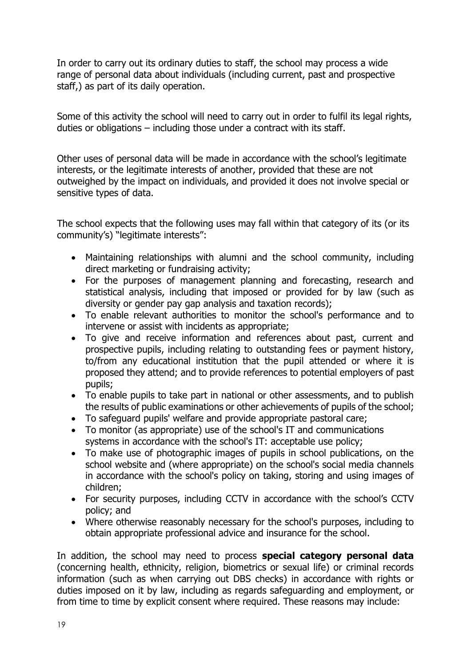In order to carry out its ordinary duties to staff, the school may process a wide range of personal data about individuals (including current, past and prospective staff,) as part of its daily operation.

Some of this activity the school will need to carry out in order to fulfil its legal rights, duties or obligations – including those under a contract with its staff.

Other uses of personal data will be made in accordance with the school's legitimate interests, or the legitimate interests of another, provided that these are not outweighed by the impact on individuals, and provided it does not involve special or sensitive types of data.

The school expects that the following uses may fall within that category of its (or its community's) "legitimate interests":

- Maintaining relationships with alumni and the school community, including direct marketing or fundraising activity;
- For the purposes of management planning and forecasting, research and statistical analysis, including that imposed or provided for by law (such as diversity or gender pay gap analysis and taxation records);
- To enable relevant authorities to monitor the school's performance and to intervene or assist with incidents as appropriate;
- To give and receive information and references about past, current and prospective pupils, including relating to outstanding fees or payment history, to/from any educational institution that the pupil attended or where it is proposed they attend; and to provide references to potential employers of past pupils;
- To enable pupils to take part in national or other assessments, and to publish the results of public examinations or other achievements of pupils of the school;
- To safeguard pupils' welfare and provide appropriate pastoral care;
- To monitor (as appropriate) use of the school's IT and communications systems in accordance with the school's IT: acceptable use policy;
- To make use of photographic images of pupils in school publications, on the school website and (where appropriate) on the school's social media channels in accordance with the school's policy on taking, storing and using images of children;
- For security purposes, including CCTV in accordance with the school's CCTV policy; and
- Where otherwise reasonably necessary for the school's purposes, including to obtain appropriate professional advice and insurance for the school.

In addition, the school may need to process **special category personal data** (concerning health, ethnicity, religion, biometrics or sexual life) or criminal records information (such as when carrying out DBS checks) in accordance with rights or duties imposed on it by law, including as regards safeguarding and employment, or from time to time by explicit consent where required. These reasons may include: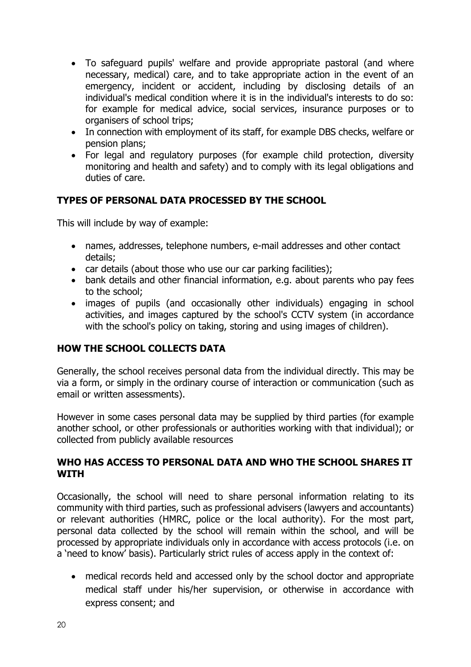- To safeguard pupils' welfare and provide appropriate pastoral (and where necessary, medical) care, and to take appropriate action in the event of an emergency, incident or accident, including by disclosing details of an individual's medical condition where it is in the individual's interests to do so: for example for medical advice, social services, insurance purposes or to organisers of school trips;
- In connection with employment of its staff, for example DBS checks, welfare or pension plans;
- For legal and regulatory purposes (for example child protection, diversity monitoring and health and safety) and to comply with its legal obligations and duties of care.

# **TYPES OF PERSONAL DATA PROCESSED BY THE SCHOOL**

This will include by way of example:

- names, addresses, telephone numbers, e-mail addresses and other contact details;
- car details (about those who use our car parking facilities);
- bank details and other financial information, e.g. about parents who pay fees to the school;
- images of pupils (and occasionally other individuals) engaging in school activities, and images captured by the school's CCTV system (in accordance with the school's policy on taking, storing and using images of children).

## **HOW THE SCHOOL COLLECTS DATA**

Generally, the school receives personal data from the individual directly. This may be via a form, or simply in the ordinary course of interaction or communication (such as email or written assessments).

However in some cases personal data may be supplied by third parties (for example another school, or other professionals or authorities working with that individual); or collected from publicly available resources

## **WHO HAS ACCESS TO PERSONAL DATA AND WHO THE SCHOOL SHARES IT WITH**

Occasionally, the school will need to share personal information relating to its community with third parties, such as professional advisers (lawyers and accountants) or relevant authorities (HMRC, police or the local authority). For the most part, personal data collected by the school will remain within the school, and will be processed by appropriate individuals only in accordance with access protocols (i.e. on a 'need to know' basis). Particularly strict rules of access apply in the context of:

 medical records held and accessed only by the school doctor and appropriate medical staff under his/her supervision, or otherwise in accordance with express consent; and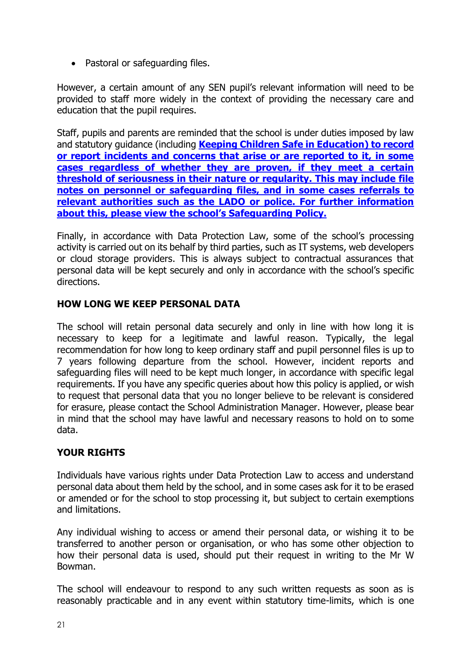• Pastoral or safeguarding files.

However, a certain amount of any SEN pupil's relevant information will need to be provided to staff more widely in the context of providing the necessary care and education that the pupil requires.

Staff, pupils and parents are reminded that the school is under duties imposed by law and statutory guidance (including **[Keeping Children Safe in Education\)](https://www.gov.uk/government/publications/keeping-children-safe-in-education--2) to record or report incidents and concerns that arise or are reported to it, in some cases regardless of whether they are proven, if they meet a certain threshold of seriousness in their nature or regularity. This may include file notes on personnel or safeguarding files, and in some cases referrals to relevant authorities such as the LADO or police. For further information about this, please view the school's Safeguarding Policy.** 

Finally, in accordance with Data Protection Law, some of the school's processing activity is carried out on its behalf by third parties, such as IT systems, web developers or cloud storage providers. This is always subject to contractual assurances that personal data will be kept securely and only in accordance with the school's specific directions.

# **HOW LONG WE KEEP PERSONAL DATA**

The school will retain personal data securely and only in line with how long it is necessary to keep for a legitimate and lawful reason. Typically, the legal recommendation for how long to keep ordinary staff and pupil personnel files is up to 7 years following departure from the school. However, incident reports and safeguarding files will need to be kept much longer, in accordance with specific legal requirements. If you have any specific queries about how this policy is applied, or wish to request that personal data that you no longer believe to be relevant is considered for erasure, please contact the School Administration Manager. However, please bear in mind that the school may have lawful and necessary reasons to hold on to some data.

# **YOUR RIGHTS**

Individuals have various rights under Data Protection Law to access and understand personal data about them held by the school, and in some cases ask for it to be erased or amended or for the school to stop processing it, but subject to certain exemptions and limitations.

Any individual wishing to access or amend their personal data, or wishing it to be transferred to another person or organisation, or who has some other objection to how their personal data is used, should put their request in writing to the Mr W Bowman.

The school will endeavour to respond to any such written requests as soon as is reasonably practicable and in any event within statutory time-limits, which is one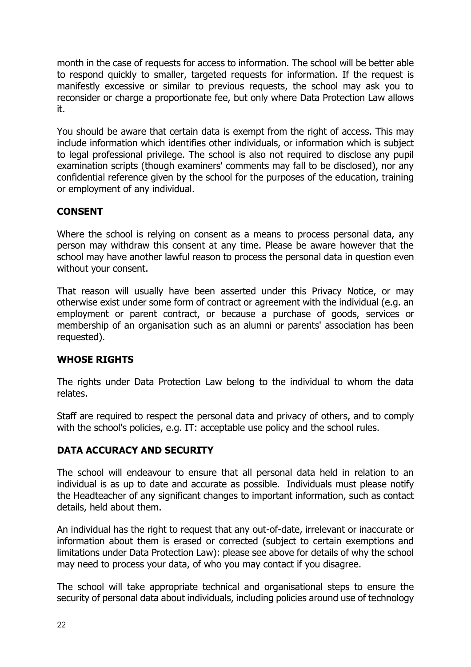month in the case of requests for access to information. The school will be better able to respond quickly to smaller, targeted requests for information. If the request is manifestly excessive or similar to previous requests, the school may ask you to reconsider or charge a proportionate fee, but only where Data Protection Law allows it.

You should be aware that certain data is exempt from the right of access. This may include information which identifies other individuals, or information which is subject to legal professional privilege. The school is also not required to disclose any pupil examination scripts (though examiners' comments may fall to be disclosed), nor any confidential reference given by the school for the purposes of the education, training or employment of any individual.

# **CONSENT**

Where the school is relying on consent as a means to process personal data, any person may withdraw this consent at any time. Please be aware however that the school may have another lawful reason to process the personal data in question even without your consent.

That reason will usually have been asserted under this Privacy Notice, or may otherwise exist under some form of contract or agreement with the individual (e.g. an employment or parent contract, or because a purchase of goods, services or membership of an organisation such as an alumni or parents' association has been requested).

# **WHOSE RIGHTS**

The rights under Data Protection Law belong to the individual to whom the data relates.

Staff are required to respect the personal data and privacy of others, and to comply with the school's policies, e.g. IT: acceptable use policy and the school rules.

# **DATA ACCURACY AND SECURITY**

The school will endeavour to ensure that all personal data held in relation to an individual is as up to date and accurate as possible. Individuals must please notify the Headteacher of any significant changes to important information, such as contact details, held about them.

An individual has the right to request that any out-of-date, irrelevant or inaccurate or information about them is erased or corrected (subject to certain exemptions and limitations under Data Protection Law): please see above for details of why the school may need to process your data, of who you may contact if you disagree.

The school will take appropriate technical and organisational steps to ensure the security of personal data about individuals, including policies around use of technology